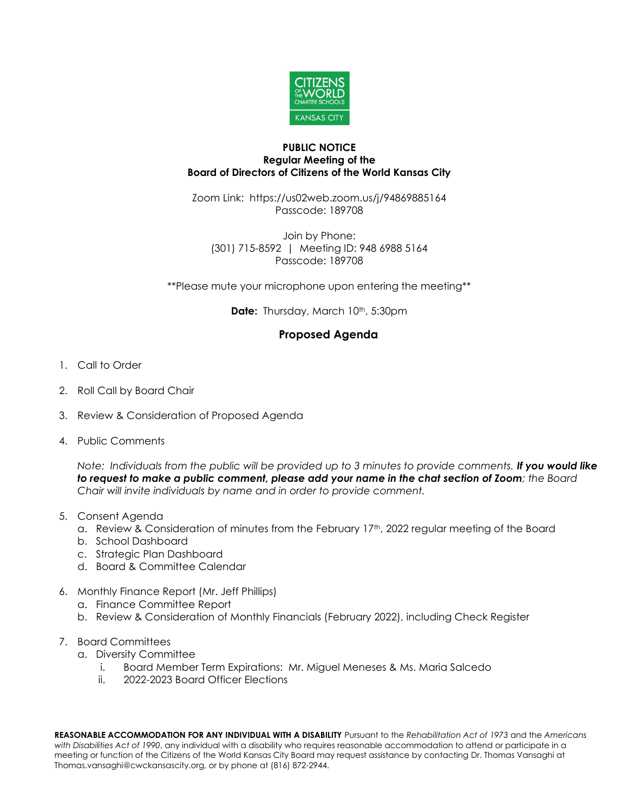

## **PUBLIC NOTICE Regular Meeting of the Board of Directors of Citizens of the World Kansas City**

Zoom Link: https://us02web.zoom.us/j/94869885164 Passcode: 189708

Join by Phone: (301) 715-8592 | Meeting ID: 948 6988 5164 Passcode: 189708

\*\*Please mute your microphone upon entering the meeting\*\*

**Date:** Thursday, March 10<sup>th</sup>, 5:30pm

## **Proposed Agenda**

- 1. Call to Order
- 2. Roll Call by Board Chair
- 3. Review & Consideration of Proposed Agenda
- 4. Public Comments

*Note: Individuals from the public will be provided up to 3 minutes to provide comments. If you would like to request to make a public comment, please add your name in the chat section of Zoom; the Board Chair will invite individuals by name and in order to provide comment.*

- 5. Consent Agenda
	- a. Review & Consideration of minutes from the February 17th, 2022 regular meeting of the Board
	- b. School Dashboard
	- c. Strategic Plan Dashboard
	- d. Board & Committee Calendar
- 6. Monthly Finance Report (Mr. Jeff Phillips)
	- a. Finance Committee Report
	- b. Review & Consideration of Monthly Financials (February 2022), including Check Register
- 7. Board Committees
	- a. Diversity Committee
		- i. Board Member Term Expirations: Mr. Miguel Meneses & Ms. Maria Salcedo
		- ii. 2022-2023 Board Officer Elections

**REASONABLE ACCOMMODATION FOR ANY INDIVIDUAL WITH A DISABILITY** Pursuant to the *Rehabilitation Act of 1973* and the *Americans with Disabilities Act of 1990*, any individual with a disability who requires reasonable accommodation to attend or participate in a meeting or function of the Citizens of the World Kansas City Board may request assistance by contacting Dr. Thomas Vansaghi at Thomas.vansaghi@cwckansascity.org, or by phone at (816) 872-2944.